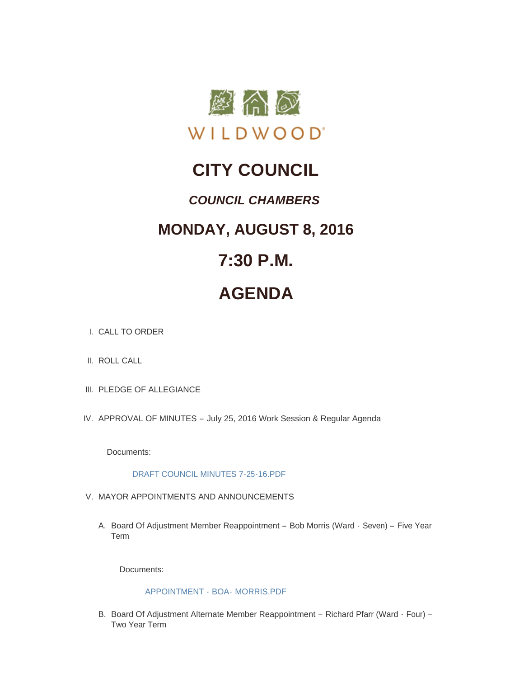

## **CITY COUNCIL**

### *COUNCIL CHAMBERS*

### **MONDAY, AUGUST 8, 2016**

## **7:30 P.M.**

# **AGENDA**

- CALL TO ORDER I.
- II. ROLL CALL
- III. PLEDGE OF ALLEGIANCE
- IV. APPROVAL OF MINUTES July 25, 2016 Work Session & Regular Agenda

Documents:

#### [DRAFT COUNCIL MINUTES 7-25-16.PDF](http://mo-wildwood.civicplus.com/AgendaCenter/ViewFile/Item/7798?fileID=11503)

- V. MAYOR APPOINTMENTS AND ANNOUNCEMENTS
	- A. Board Of Adjustment Member Reappointment Bob Morris (Ward Seven) Five Year Term

Documents:

#### [APPOINTMENT -](http://mo-wildwood.civicplus.com/AgendaCenter/ViewFile/Item/7800?fileID=11504) BOA- MORRIS.PDF

B. Board Of Adjustment Alternate Member Reappointment - Richard Pfarr (Ward - Four) -Two Year Term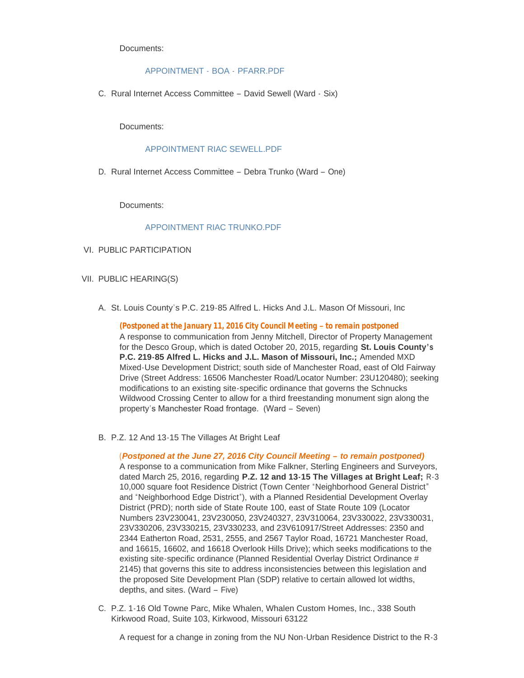Documents:

#### [APPOINTMENT -](http://mo-wildwood.civicplus.com/AgendaCenter/ViewFile/Item/7801?fileID=11505) BOA - PFARR.PDF

C. Rural Internet Access Committee - David Sewell (Ward - Six)

Documents:

#### [APPOINTMENT RIAC SEWELL.PDF](http://mo-wildwood.civicplus.com/AgendaCenter/ViewFile/Item/7802?fileID=11506)

D. Rural Internet Access Committee - Debra Trunko (Ward - One)

Documents:

#### [APPOINTMENT RIAC TRUNKO.PDF](http://mo-wildwood.civicplus.com/AgendaCenter/ViewFile/Item/7803?fileID=11507)

- VI. PUBLIC PARTICIPATION
- VII. PUBLIC HEARING(S)
	- A. St. Louis County's P.C. 219-85 Alfred L. Hicks And J.L. Mason Of Missouri, Inc

*(Postponed at the January 11, 2016 City Council Meeting – to remain postponed* A response to communication from Jenny Mitchell, Director of Property Management for the Desco Group, which is dated October 20, 2015, regarding **St. Louis County's P.C. 219-85 Alfred L. Hicks and J.L. Mason of Missouri, Inc.;** Amended MXD Mixed-Use Development District; south side of Manchester Road, east of Old Fairway Drive (Street Address: 16506 Manchester Road/Locator Number: 23U120480); seeking modifications to an existing site-specific ordinance that governs the Schnucks Wildwood Crossing Center to allow for a third freestanding monument sign along the property's Manchester Road frontage. (Ward – Seven)

B. P.Z. 12 And 13-15 The Villages At Bright Leaf

#### (*Postponed at the June 27, 2016 City Council Meeting – to remain postponed)*

A response to a communication from Mike Falkner, Sterling Engineers and Surveyors, dated March 25, 2016, regarding **P.Z. 12 and 13-15 The Villages at Bright Leaf;** R-3 10,000 square foot Residence District (Town Center "Neighborhood General District" and "Neighborhood Edge District"), with a Planned Residential Development Overlay District (PRD); north side of State Route 100, east of State Route 109 (Locator Numbers 23V230041, 23V230050, 23V240327, 23V310064, 23V330022, 23V330031, 23V330206, 23V330215, 23V330233, and 23V610917/Street Addresses: 2350 and 2344 Eatherton Road, 2531, 2555, and 2567 Taylor Road, 16721 Manchester Road, and 16615, 16602, and 16618 Overlook Hills Drive); which seeks modifications to the existing site-specific ordinance (Planned Residential Overlay District Ordinance # 2145) that governs this site to address inconsistencies between this legislation and the proposed Site Development Plan (SDP) relative to certain allowed lot widths, depths, and sites. (Ward – Five)

C. P.Z. 1-16 Old Towne Parc, Mike Whalen, Whalen Custom Homes, Inc., 338 South Kirkwood Road, Suite 103, Kirkwood, Missouri 63122

A request for a change in zoning from the NU Non-Urban Residence District to the R-3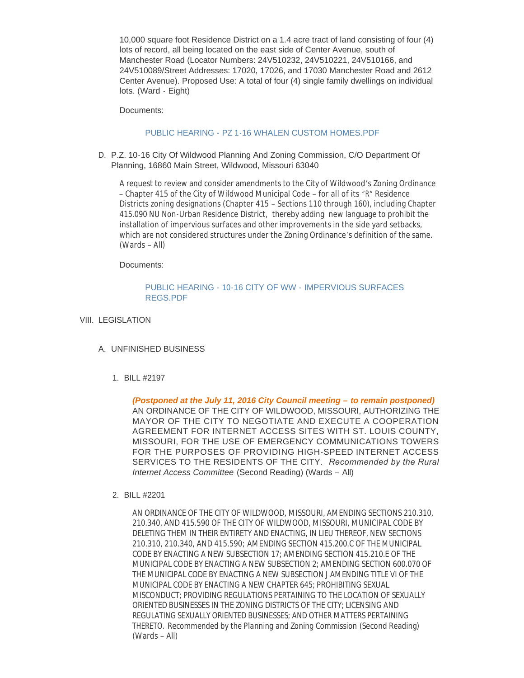10,000 square foot Residence District on a 1.4 acre tract of land consisting of four (4) lots of record, all being located on the east side of Center Avenue, south of Manchester Road (Locator Numbers: 24V510232, 24V510221, 24V510166, and 24V510089/Street Addresses: 17020, 17026, and 17030 Manchester Road and 2612 Center Avenue). Proposed Use: A total of four (4) single family dwellings on individual lots. (Ward - Eight)

Documents:

#### PUBLIC HEARING - [PZ 1-16 WHALEN CUSTOM HOMES.PDF](http://mo-wildwood.civicplus.com/AgendaCenter/ViewFile/Item/7808?fileID=11508)

D. P.Z. 10-16 City Of Wildwood Planning And Zoning Commission, C/O Department Of Planning, 16860 Main Street, Wildwood, Missouri 63040

A request to review and consider amendments to the City of Wildwood's Zoning Ordinance – Chapter 415 of the City of Wildwood Municipal Code – for all of its "R" Residence Districts zoning designations (Chapter 415 – Sections 110 through 160), including Chapter 415.090 NU Non-Urban Residence District, thereby adding new language to prohibit the installation of impervious surfaces and other improvements in the side yard setbacks, which are not considered structures under the Zoning Ordinance's definition of the same. (Wards – All)

Documents:

#### PUBLIC HEARING - 10-16 CITY OF WW - [IMPERVIOUS SURFACES](http://mo-wildwood.civicplus.com/AgendaCenter/ViewFile/Item/7809?fileID=11509)  REGS.PDF

- VIII. LEGISLATION
	- UNFINISHED BUSINESS A.
		- BILL #2197 1.

*(Postponed at the July 11, 2016 City Council meeting – to remain postponed)* AN ORDINANCE OF THE CITY OF WILDWOOD, MISSOURI, AUTHORIZING THE MAYOR OF THE CITY TO NEGOTIATE AND EXECUTE A COOPERATION AGREEMENT FOR INTERNET ACCESS SITES WITH ST. LOUIS COUNTY, MISSOURI, FOR THE USE OF EMERGENCY COMMUNICATIONS TOWERS FOR THE PURPOSES OF PROVIDING HIGH-SPEED INTERNET ACCESS SERVICES TO THE RESIDENTS OF THE CITY. *Recommended by the Rural Internet Access Committee* (Second Reading) (Wards – All)

#### BILL #2201 2.

AN ORDINANCE OF THE CITY OF WILDWOOD, MISSOURI, AMENDING SECTIONS 210.310, 210.340, AND 415.590 OF THE CITY OF WILDWOOD, MISSOURI, MUNICIPAL CODE BY DELETING THEM IN THEIR ENTIRETY AND ENACTING, IN LIEU THEREOF, NEW SECTIONS 210.310, 210.340, AND 415.590; AMENDING SECTION 415.200.C OF THE MUNICIPAL CODE BY ENACTING A NEW SUBSECTION 17; AMENDING SECTION 415.210.E OF THE MUNICIPAL CODE BY ENACTING A NEW SUBSECTION 2; AMENDING SECTION 600.070 OF THE MUNICIPAL CODE BY ENACTING A NEW SUBSECTION J AMENDING TITLE VI OF THE MUNICIPAL CODE BY ENACTING A NEW CHAPTER 645; PROHIBITING SEXUAL MISCONDUCT; PROVIDING REGULATIONS PERTAINING TO THE LOCATION OF SEXUALLY ORIENTED BUSINESSES IN THE ZONING DISTRICTS OF THE CITY; LICENSING AND REGULATING SEXUALLY ORIENTED BUSINESSES; AND OTHER MATTERS PERTAINING THERETO. *Recommended by the Planning and Zoning Commission* (Second Reading) (Wards – All)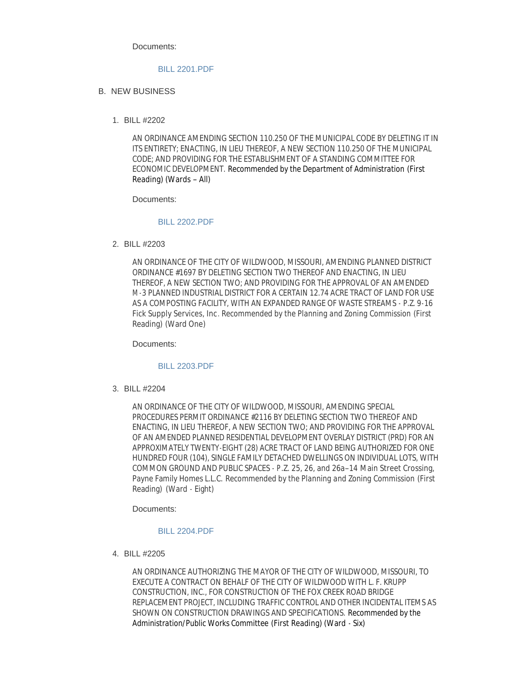Documents:

#### [BILL 2201.PDF](http://mo-wildwood.civicplus.com/AgendaCenter/ViewFile/Item/7813?fileID=11510)

#### **B. NEW BUSINESS**

BILL #2202 1.

AN ORDINANCE AMENDING SECTION 110.250 OF THE MUNICIPAL CODE BY DELETING IT IN ITS ENTIRETY; ENACTING, IN LIEU THEREOF, A NEW SECTION 110.250 OF THE MUNICIPAL CODE; AND PROVIDING FOR THE ESTABLISHMENT OF A STANDING COMMITTEE FOR ECONOMIC DEVELOPMENT. *Recommended by the Department of Administration* (First Reading) (Wards – All)

Documents:

#### [BILL 2202.PDF](http://mo-wildwood.civicplus.com/AgendaCenter/ViewFile/Item/7815?fileID=11580)

BILL #2203 2.

AN ORDINANCE OF THE CITY OF WILDWOOD, MISSOURI, AMENDING PLANNED DISTRICT ORDINANCE #1697 BY DELETING SECTION TWO THEREOF AND ENACTING, IN LIEU THEREOF, A NEW SECTION TWO; AND PROVIDING FOR THE APPROVAL OF AN AMENDED M-3 PLANNED INDUSTRIAL DISTRICT FOR A CERTAIN 12.74 ACRE TRACT OF LAND FOR USE AS A COMPOSTING FACILITY, WITH AN EXPANDED RANGE OF WASTE STREAMS - P.Z. 9-16 Fick Supply Services, Inc. *Recommended by the Planning and Zoning Commission* (First Reading) (Ward One)

Documents:

#### [BILL 2203.PDF](http://mo-wildwood.civicplus.com/AgendaCenter/ViewFile/Item/7816?fileID=11512)

BILL #2204 3.

AN ORDINANCE OF THE CITY OF WILDWOOD, MISSOURI, AMENDING SPECIAL PROCEDURES PERMIT ORDINANCE #2116 BY DELETING SECTION TWO THEREOF AND ENACTING, IN LIEU THEREOF, A NEW SECTION TWO; AND PROVIDING FOR THE APPROVAL OF AN AMENDED PLANNED RESIDENTIAL DEVELOPMENT OVERLAY DISTRICT (PRD) FOR AN APPROXIMATELY TWENTY-EIGHT (28) ACRE TRACT OF LAND BEING AUTHORIZED FOR ONE HUNDRED FOUR (104), SINGLE FAMILY DETACHED DWELLINGS ON INDIVIDUAL LOTS, WITH COMMON GROUND AND PUBLIC SPACES - P.Z. 25, 26, and 26a–14 Main Street Crossing, Payne Family Homes L.L.C. *Recommended by the Planning and Zoning Commission* (First Reading) (Ward - Eight)

Documents:

#### [BILL 2204.PDF](http://mo-wildwood.civicplus.com/AgendaCenter/ViewFile/Item/7817?fileID=11513)

BILL #2205 4.

AN ORDINANCE AUTHORIZING THE MAYOR OF THE CITY OF WILDWOOD, MISSOURI, TO EXECUTE A CONTRACT ON BEHALF OF THE CITY OF WILDWOOD WITH L. F. KRUPP CONSTRUCTION, INC., FOR CONSTRUCTION OF THE FOX CREEK ROAD BRIDGE REPLACEMENT PROJECT, INCLUDING TRAFFIC CONTROL AND OTHER INCIDENTAL ITEMS AS SHOWN ON CONSTRUCTION DRAWINGS AND SPECIFICATIONS. *Recommended by the Administration/Public Works Committee* (First Reading) (Ward - Six)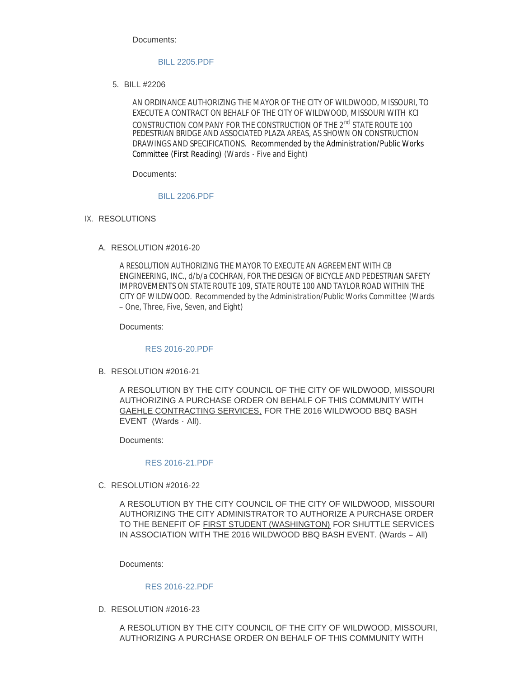Documents:

#### [BILL 2205.PDF](http://mo-wildwood.civicplus.com/AgendaCenter/ViewFile/Item/7818?fileID=11538)

BILL #2206 5.

AN ORDINANCE AUTHORIZING THE MAYOR OF THE CITY OF WILDWOOD, MISSOURI, TO EXECUTE A CONTRACT ON BEHALF OF THE CITY OF WILDWOOD, MISSOURI WITH *KCI CONSTRUCTION COMPANY* FOR THE CONSTRUCTION OF THE 2nd STATE ROUTE 100 PEDESTRIAN BRIDGE AND ASSOCIATED PLAZA AREAS, AS SHOWN ON CONSTRUCTION DRAWINGS AND SPECIFICATIONS. *Recommended by the Administration/Public Works Committee* (First Reading) (Wards - Five and Eight)

Documents:

#### [BILL 2206.PDF](http://mo-wildwood.civicplus.com/AgendaCenter/ViewFile/Item/7819?fileID=11514)

- IX. RESOLUTIONS
	- A. RESOLUTION #2016-20

A RESOLUTION AUTHORIZING THE MAYOR TO EXECUTE AN AGREEMENT WITH CB ENGINEERING, INC., d/b/a COCHRAN, FOR THE DESIGN OF BICYCLE AND PEDESTRIAN SAFETY IMPROVEMENTS ON STATE ROUTE 109, STATE ROUTE 100 AND TAYLOR ROAD WITHIN THE CITY OF WILDWOOD. *Recommended by the Administration/Public Works Committee* (Wards – One, Three, Five, Seven, and Eight)

Documents:

[RES 2016-20.PDF](http://mo-wildwood.civicplus.com/AgendaCenter/ViewFile/Item/7821?fileID=11515)

B. RESOLUTION #2016-21

A RESOLUTION BY THE CITY COUNCIL OF THE CITY OF WILDWOOD, MISSOURI AUTHORIZING A PURCHASE ORDER ON BEHALF OF THIS COMMUNITY WITH GAEHLE CONTRACTING SERVICES, FOR THE 2016 WILDWOOD BBQ BASH EVENT (Wards - All).

Documents:

#### [RES 2016-21.PDF](http://mo-wildwood.civicplus.com/AgendaCenter/ViewFile/Item/7822?fileID=11516)

C. RESOLUTION #2016-22

A RESOLUTION BY THE CITY COUNCIL OF THE CITY OF WILDWOOD, MISSOURI AUTHORIZING THE CITY ADMINISTRATOR TO AUTHORIZE A PURCHASE ORDER TO THE BENEFIT OF FIRST STUDENT (WASHINGTON) FOR SHUTTLE SERVICES IN ASSOCIATION WITH THE 2016 WILDWOOD BBQ BASH EVENT. (Wards – All)

Documents:

#### [RES 2016-22.PDF](http://mo-wildwood.civicplus.com/AgendaCenter/ViewFile/Item/7823?fileID=11517)

D. RESOLUTION #2016-23

A RESOLUTION BY THE CITY COUNCIL OF THE CITY OF WILDWOOD, MISSOURI, AUTHORIZING A PURCHASE ORDER ON BEHALF OF THIS COMMUNITY WITH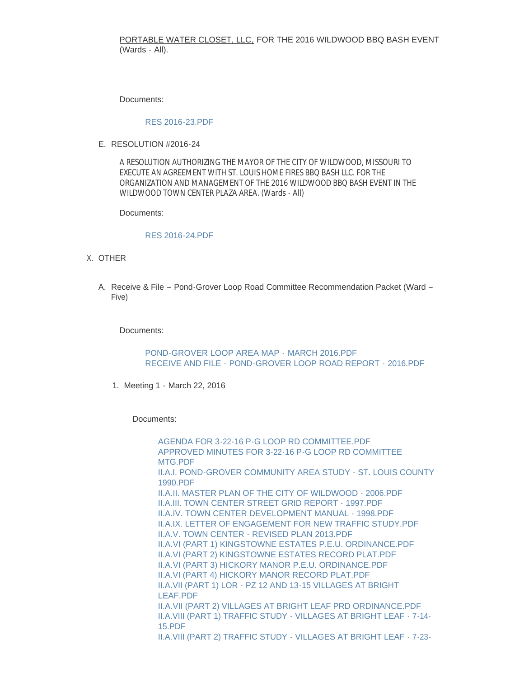#### PORTABLE WATER CLOSET, LLC, FOR THE 2016 WILDWOOD BBQ BASH EVENT (Wards - All).

Documents:

#### [RES 2016-23.PDF](http://mo-wildwood.civicplus.com/AgendaCenter/ViewFile/Item/7824?fileID=11518)

E. RESOLUTION #2016-24

A RESOLUTION AUTHORIZING THE MAYOR OF THE CITY OF WILDWOOD, MISSOURI TO EXECUTE AN AGREEMENT WITH ST. LOUIS HOME FIRES BBQ BASH LLC. FOR THE ORGANIZATION AND MANAGEMENT OF THE 2016 WILDWOOD BBQ BASH EVENT IN THE WILDWOOD TOWN CENTER PLAZA AREA. (Wards - All)

Documents:

#### [RES 2016-24.PDF](http://mo-wildwood.civicplus.com/AgendaCenter/ViewFile/Item/7825?fileID=11519)

- X. OTHER
	- A. Receive & File Pond-Grover Loop Road Committee Recommendation Packet (Ward -Five)

Documents:

[POND-GROVER LOOP AREA MAP -](http://mo-wildwood.civicplus.com/AgendaCenter/ViewFile/Item/7828?fileID=11578) MARCH 2016.PDF RECEIVE AND FILE - [POND-GROVER LOOP ROAD REPORT -](http://mo-wildwood.civicplus.com/AgendaCenter/ViewFile/Item/7828?fileID=11588) 2016.PDF

1. Meeting 1 - March 22, 2016

Documents:

AGENDA FOR 3-22-16 P-G LOOP RD COMMITTEE PDF [APPROVED MINUTES FOR 3-22-16 P-G LOOP RD COMMITTEE](http://mo-wildwood.civicplus.com/AgendaCenter/ViewFile/Item/7829?fileID=11522)  MTG.PDF [II.A.I. POND-GROVER COMMUNITY AREA STUDY - ST. LOUIS COUNTY](http://mo-wildwood.civicplus.com/AgendaCenter/ViewFile/Item/7829?fileID=11523)  1990.PDF [II.A.II. MASTER PLAN OF THE CITY OF WILDWOOD - 2006.PDF](http://mo-wildwood.civicplus.com/AgendaCenter/ViewFile/Item/7829?fileID=11524) [II.A.III. TOWN CENTER STREET GRID REPORT - 1997.PDF](http://mo-wildwood.civicplus.com/AgendaCenter/ViewFile/Item/7829?fileID=11525) [II.A.IV. TOWN CENTER DEVELOPMENT MANUAL - 1998.PDF](http://mo-wildwood.civicplus.com/AgendaCenter/ViewFile/Item/7829?fileID=11526) [II.A.IX. LETTER OF ENGAGEMENT FOR NEW TRAFFIC STUDY.PDF](http://mo-wildwood.civicplus.com/AgendaCenter/ViewFile/Item/7829?fileID=11527) [II.A.V. TOWN CENTER - REVISED PLAN 2013.PDF](http://mo-wildwood.civicplus.com/AgendaCenter/ViewFile/Item/7829?fileID=11528) [II.A.VI \(PART 1\) KINGSTOWNE ESTATES P.E.U. ORDINANCE.PDF](http://mo-wildwood.civicplus.com/AgendaCenter/ViewFile/Item/7829?fileID=11529) [II.A.VI \(PART 2\) KINGSTOWNE ESTATES RECORD PLAT.PDF](http://mo-wildwood.civicplus.com/AgendaCenter/ViewFile/Item/7829?fileID=11530) [II.A.VI \(PART 3\) HICKORY MANOR P.E.U. ORDINANCE.PDF](http://mo-wildwood.civicplus.com/AgendaCenter/ViewFile/Item/7829?fileID=11531) [II.A.VI \(PART 4\) HICKORY MANOR RECORD PLAT.PDF](http://mo-wildwood.civicplus.com/AgendaCenter/ViewFile/Item/7829?fileID=11532) [II.A.VII \(PART 1\) LOR - PZ 12 AND 13-15 VILLAGES AT BRIGHT](http://mo-wildwood.civicplus.com/AgendaCenter/ViewFile/Item/7829?fileID=11533)  LEAF.PDF [II.A.VII \(PART 2\) VILLAGES AT BRIGHT LEAF PRD ORDINANCE.PDF](http://mo-wildwood.civicplus.com/AgendaCenter/ViewFile/Item/7829?fileID=11534) [II.A.VIII \(PART 1\) TRAFFIC STUDY - VILLAGES AT BRIGHT LEAF - 7-14-](http://mo-wildwood.civicplus.com/AgendaCenter/ViewFile/Item/7829?fileID=11535) 15.PDF [II.A.VIII \(PART 2\) TRAFFIC STUDY - VILLAGES AT BRIGHT LEAF - 7-23-](http://mo-wildwood.civicplus.com/AgendaCenter/ViewFile/Item/7829?fileID=11536)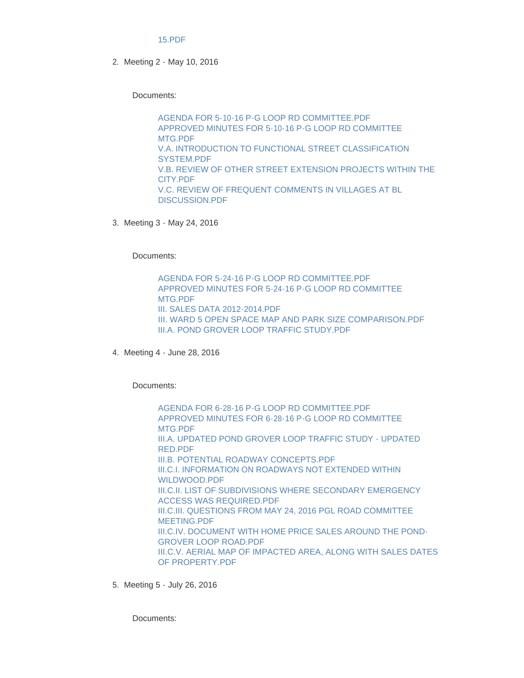#### 15.PDF

2. Meeting 2 - May 10, 2016

Documents:

[AGENDA FOR 5-10-16 P-G LOOP RD COMMITTEE.PDF](http://mo-wildwood.civicplus.com/AgendaCenter/ViewFile/Item/7830?fileID=11540) [APPROVED MINUTES FOR 5-10-16 P-G LOOP RD COMMITTEE](http://mo-wildwood.civicplus.com/AgendaCenter/ViewFile/Item/7830?fileID=11541)  MTG.PDF [V.A. INTRODUCTION TO FUNCTIONAL STREET CLASSIFICATION](http://mo-wildwood.civicplus.com/AgendaCenter/ViewFile/Item/7830?fileID=11542)  SYSTEM.PDF [V.B. REVIEW OF OTHER STREET EXTENSION PROJECTS WITHIN THE](http://mo-wildwood.civicplus.com/AgendaCenter/ViewFile/Item/7830?fileID=11543)  CITY.PDF [V.C. REVIEW OF FREQUENT COMMENTS IN VILLAGES AT BL](http://mo-wildwood.civicplus.com/AgendaCenter/ViewFile/Item/7830?fileID=11544)  DISCUSSION.PDF

3. Meeting 3 - May 24, 2016

Documents:

[AGENDA FOR 5-24-16 P-G LOOP RD COMMITTEE.PDF](http://mo-wildwood.civicplus.com/AgendaCenter/ViewFile/Item/7831?fileID=11545) [APPROVED MINUTES FOR 5-24-16 P-G LOOP RD COMMITTEE](http://mo-wildwood.civicplus.com/AgendaCenter/ViewFile/Item/7831?fileID=11546)  MTG.PDF [III. SALES DATA 2012-2014.PDF](http://mo-wildwood.civicplus.com/AgendaCenter/ViewFile/Item/7831?fileID=11547) [III. WARD 5 OPEN SPACE MAP AND PARK SIZE COMPARISON.PDF](http://mo-wildwood.civicplus.com/AgendaCenter/ViewFile/Item/7831?fileID=11548) [III.A. POND GROVER LOOP TRAFFIC STUDY.PDF](http://mo-wildwood.civicplus.com/AgendaCenter/ViewFile/Item/7831?fileID=11549)

Meeting 4 - June 28, 2016 4.

Documents:

[AGENDA FOR 6-28-16 P-G LOOP RD COMMITTEE.PDF](http://mo-wildwood.civicplus.com/AgendaCenter/ViewFile/Item/7832?fileID=11550) [APPROVED MINUTES FOR 6-28-16 P-G LOOP RD COMMITTEE](http://mo-wildwood.civicplus.com/AgendaCenter/ViewFile/Item/7832?fileID=11551)  MTG.PDF [III.A. UPDATED POND GROVER LOOP TRAFFIC STUDY - UPDATED](http://mo-wildwood.civicplus.com/AgendaCenter/ViewFile/Item/7832?fileID=11552)  RED.PDF [III.B. POTENTIAL ROADWAY CONCEPTS.PDF](http://mo-wildwood.civicplus.com/AgendaCenter/ViewFile/Item/7832?fileID=11553) [III.C.I. INFORMATION ON ROADWAYS NOT EXTENDED WITHIN](http://mo-wildwood.civicplus.com/AgendaCenter/ViewFile/Item/7832?fileID=11554)  WILDWOOD.PDF [III.C.II. LIST OF SUBDIVISIONS WHERE SECONDARY EMERGENCY](http://mo-wildwood.civicplus.com/AgendaCenter/ViewFile/Item/7832?fileID=11555)  ACCESS WAS REQUIRED.PDF [III.C.III. QUESTIONS FROM MAY 24, 2016 PGL ROAD COMMITTEE](http://mo-wildwood.civicplus.com/AgendaCenter/ViewFile/Item/7832?fileID=11556)  MEETING.PDF [III.C.IV. DOCUMENT WITH HOME PRICE SALES AROUND THE POND-](http://mo-wildwood.civicplus.com/AgendaCenter/ViewFile/Item/7832?fileID=11557)GROVER LOOP ROAD.PDF [III.C.V. AERIAL MAP OF IMPACTED AREA, ALONG WITH SALES DATES](http://mo-wildwood.civicplus.com/AgendaCenter/ViewFile/Item/7832?fileID=11558)  OF PROPERTY.PDF

Meeting 5 - July 26, 2016 5.

Documents: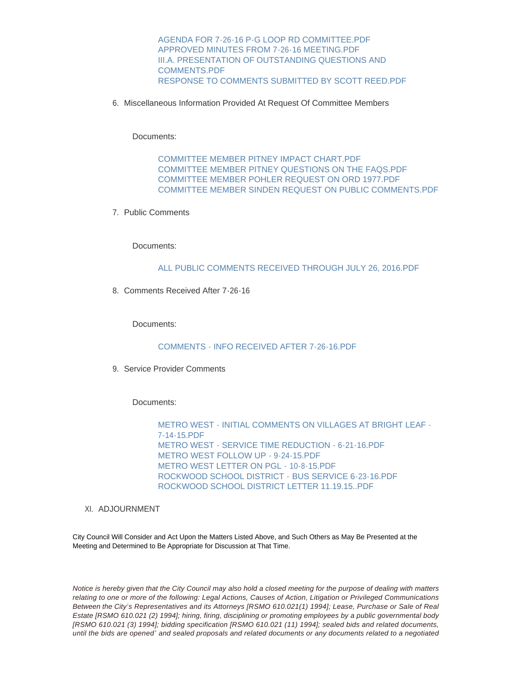[AGENDA FOR 7-26-16 P-G LOOP RD COMMITTEE.PDF](http://mo-wildwood.civicplus.com/AgendaCenter/ViewFile/Item/7833?fileID=11559) [APPROVED MINUTES FROM 7-26-16 MEETING.PDF](http://mo-wildwood.civicplus.com/AgendaCenter/ViewFile/Item/7833?fileID=11560) [III.A. PRESENTATION OF OUTSTANDING QUESTIONS AND](http://mo-wildwood.civicplus.com/AgendaCenter/ViewFile/Item/7833?fileID=11561)  COMMENTS.PDF [RESPONSE TO COMMENTS SUBMITTED BY SCOTT REED.PDF](http://mo-wildwood.civicplus.com/AgendaCenter/ViewFile/Item/7833?fileID=11562)

6. Miscellaneous Information Provided At Request Of Committee Members

Documents:

COMMITTEE MEMBER PITNEY IMPACT CHART PDF [COMMITTEE MEMBER PITNEY QUESTIONS ON THE FAQS.PDF](http://mo-wildwood.civicplus.com/AgendaCenter/ViewFile/Item/7834?fileID=11564) [COMMITTEE MEMBER POHLER REQUEST ON ORD 1977.PDF](http://mo-wildwood.civicplus.com/AgendaCenter/ViewFile/Item/7834?fileID=11565) [COMMITTEE MEMBER SINDEN REQUEST ON PUBLIC COMMENTS.PDF](http://mo-wildwood.civicplus.com/AgendaCenter/ViewFile/Item/7834?fileID=11566)

7. Public Comments

Documents:

#### [ALL PUBLIC COMMENTS RECEIVED THROUGH JULY 26, 2016.PDF](http://mo-wildwood.civicplus.com/AgendaCenter/ViewFile/Item/7835?fileID=11567)

8. Comments Received After 7-26-16

Documents:

#### [COMMENTS - INFO RECEIVED AFTER 7-26-16.PDF](http://mo-wildwood.civicplus.com/AgendaCenter/ViewFile/Item/7837?fileID=11579)

9. Service Provider Comments

Documents:

[METRO WEST - INITIAL COMMENTS ON VILLAGES AT BRIGHT LEAF -](http://mo-wildwood.civicplus.com/AgendaCenter/ViewFile/Item/7836?fileID=11568) 7-14-15.PDF [METRO WEST - SERVICE TIME REDUCTION - 6-21-16.PDF](http://mo-wildwood.civicplus.com/AgendaCenter/ViewFile/Item/7836?fileID=11569) [METRO WEST FOLLOW UP - 9-24-15.PDF](http://mo-wildwood.civicplus.com/AgendaCenter/ViewFile/Item/7836?fileID=11570) [METRO WEST LETTER ON PGL -](http://mo-wildwood.civicplus.com/AgendaCenter/ViewFile/Item/7836?fileID=11571) 10-8-15.PDF [ROCKWOOD SCHOOL DISTRICT -](http://mo-wildwood.civicplus.com/AgendaCenter/ViewFile/Item/7836?fileID=11572) BUS SERVICE 6-23-16.PDF [ROCKWOOD SCHOOL DISTRICT LETTER 11.19.15..PDF](http://mo-wildwood.civicplus.com/AgendaCenter/ViewFile/Item/7836?fileID=11573)

#### XI. ADJOURNMENT

City Council Will Consider and Act Upon the Matters Listed Above, and Such Others as May Be Presented at the Meeting and Determined to Be Appropriate for Discussion at That Time.

*Notice is hereby given that the City Council may also hold a closed meeting for the purpose of dealing with matters relating to one or more of the following: Legal Actions, Causes of Action, Litigation or Privileged Communications Between the City's Representatives and its Attorneys [RSMO 610.021(1) 1994]; Lease, Purchase or Sale of Real Estate [RSMO 610.021 (2) 1994]; hiring, firing, disciplining or promoting employees by a public governmental body [RSMO 610.021 (3) 1994]; bidding specification [RSMO 610.021 (11) 1994]; sealed bids and related documents, until the bids are opened' and sealed proposals and related documents or any documents related to a negotiated*